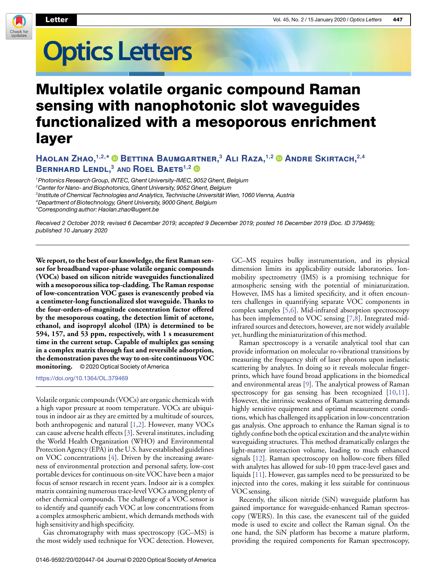

## **Optics Letters**

## Multiplex volatile organic compound Raman sensing with nanophotonic slot waveguides functionalized with a mesoporous enrichment layer

## **Haolan Zhao,1,2, \* Bettina Baumgartner,<sup>3</sup> Ali Raza,1,2 Andre Skirtach,2,4 Bernhard Lendl,<sup>3</sup> AND Roel Baets1,2**

<sup>1</sup>Photonics Research Group, INTEC, Ghent University-IMEC, 9052 Ghent, Belgium

<sup>2</sup> Center for Nano- and Biophotonics, Ghent University, 9052 Ghent, Belgium

3 Institute of Chemical Technologies and Analytics, Technische Universität Wien, 1060 Vienna, Austria

<sup>4</sup>Department of Biotechnology, Ghent University, 9000 Ghent, Belgium

\*Corresponding author: [Haolan.zhao@ugent.be](mailto:Haolan.zhao@ugent.be)

Received 2 October 2019; revised 6 December 2019; accepted 9 December 2019; posted 16 December 2019 (Doc. ID 379469); published 10 January 2020

**We report, to the best of our knowledge, the first Raman sensor for broadband vapor-phase volatile organic compounds (VOCs) based on silicon nitride waveguides functionalized with a mesoporous silica top-cladding. The Raman response of low-concentration VOC gases is evanescently probed via a centimeter-long functionalized slot waveguide. Thanks to the four-orders-of-magnitude concentration factor offered by the mesoporous coating, the detection limit of acetone, ethanol, and isopropyl alcohol (IPA) is determined to be 594, 157, and 53 ppm, respectively, with 1 s measurement time in the current setup. Capable of multiplex gas sensing in a complex matrix through fast and reversible adsorption, the demonstration paves the way to on-site continuous VOC monitoring.** © 2020 Optical Society of America

<https://doi.org/10.1364/OL.379469>

Volatile organic compounds (VOCs) are organic chemicals with a high vapor pressure at room temperature. VOCs are ubiquitous in indoor air as they are emitted by a multitude of sources, both anthropogenic and natural [\[1,](#page-3-0)[2\]](#page-3-1). However, many VOCs can cause adverse health effects [\[3\]](#page-3-2). Several institutes, including the World Health Organization (WHO) and Environmental Protection Agency (EPA) in the U.S. have established guidelines on VOC concentrations [\[4\]](#page-3-3). Driven by the increasing awareness of environmental protection and personal safety, low-cost portable devices for continuous on-site VOC have been a major focus of sensor research in recent years. Indoor air is a complex matrix containing numerous trace-level VOCs among plenty of other chemical compounds. The challenge of a VOC sensor is to identify and quantify each VOC at low concentrations from a complex atmospheric ambient, which demands methods with high sensitivity and high specificity.

Gas chromatography with mass spectroscopy (GC–MS) is the most widely used technique for VOC detection. However,

GC–MS requires bulky instrumentation, and its physical dimension limits its applicability outside laboratories. Ionmobility spectrometry (IMS) is a promising technique for atmospheric sensing with the potential of miniaturization. However, IMS has a limited specificity, and it often encounters challenges in quantifying separate VOC components in complex samples [\[5](#page-3-4)[,6\]](#page-3-5). Mid-infrared absorption spectroscopy has been implemented to VOC sensing [\[7](#page-3-6)[,8\]](#page-3-7). Integrated midinfrared sources and detectors, however, are not widely available yet, hurdling the miniaturization of this method.

Raman spectroscopy is a versatile analytical tool that can provide information on molecular ro-vibrational transitions by measuring the frequency shift of laser photons upon inelastic scattering by analytes. In doing so it reveals molecular fingerprints, which have found broad applications in the biomedical and environmental areas [\[9\]](#page-3-8). The analytical prowess of Raman spectroscopy for gas sensing has been recognized [\[10,](#page-3-9)[11\]](#page-3-10). However, the intrinsic weakness of Raman scattering demands highly sensitive equipment and optimal measurement conditions, which has challenged its application in low-concentration gas analysis. One approach to enhance the Raman signal is to tightly confine both the optical excitation and the analyte within waveguiding structures. This method dramatically enlarges the light-matter interaction volume, leading to much enhanced signals [\[12\]](#page-3-11). Raman spectroscopy on hollow-core fibers filled with analytes has allowed for sub-10 ppm trace-level gases and liquids [\[11\]](#page-3-10). However, gas samples need to be pressurized to be injected into the cores, making it less suitable for continuous VOC sensing.

Recently, the silicon nitride (SiN) waveguide platform has gained importance for waveguide-enhanced Raman spectroscopy (WERS). In this case, the evanescent tail of the guided mode is used to excite and collect the Raman signal. On the one hand, the SiN platform has become a mature platform, providing the required components for Raman spectroscopy,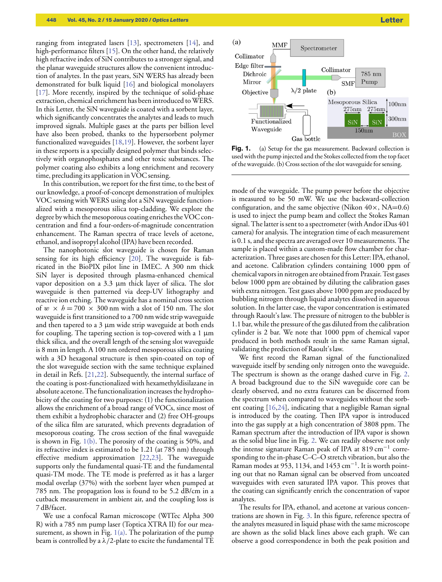ranging from integrated lasers [\[13\]](#page-3-12), spectrometers [\[14\]](#page-3-13), and high-performance filters [\[15\]](#page-3-14). On the other hand, the relatively high refractive index of SiN contributes to a stronger signal, and the planar waveguide structures allow the convenient introduction of analytes. In the past years, SiN WERS has already been demonstrated for bulk liquid [\[16\]](#page-3-15) and biological monolayers [\[17\]](#page-3-16). More recently, inspired by the technique of solid-phase extraction, chemical enrichment has been introduced to WERS. In this Letter, the SiN waveguide is coated with a sorbent layer, which significantly concentrates the analytes and leads to much improved signals. Multiple gases at the parts per billion level have also been probed, thanks to the hypersorbent polymer functionalized waveguides [\[18,](#page-3-17)[19\]](#page-3-18). However, the sorbent layer in these reports is a specially designed polymer that binds selectively with organophosphates and other toxic substances. The polymer coating also exhibits a long enrichment and recovery time, precluding its application in VOC sensing.

In this contribution, we report for the first time, to the best of our knowledge, a proof-of-concept demonstration of multiplex VOC sensing with WERS using slot a SiN waveguide functionalized with a mesoporous silica top-cladding. We explore the degree by which the mesoporous coating enriches the VOC concentration and find a four-orders-of-magnitude concentration enhancement. The Raman spectra of trace levels of acetone, ethanol, and isopropyl alcohol (IPA) have been recorded.

The nanophotonic slot waveguide is chosen for Raman sensing for its high efficiency [\[20\]](#page-3-19). The waveguide is fabricated in the BioPIX pilot line in IMEC. A 300 nm thick SiN layer is deposited through plasma-enhanced chemical vapor deposition on a 3.3 µm thick layer of silica. The slot waveguide is then patterned via deep-UV lithography and reactive ion etching. The waveguide has a nominal cross section of  $w \times h = 700 \times 300$  nm with a slot of 150 nm. The slot waveguide is first transitioned to a 700 nm wide strip waveguide and then tapered to a  $3 \mu m$  wide strip waveguide at both ends for coupling. The tapering section is top-covered with a  $1 \mu m$ thick silica, and the overall length of the sensing slot waveguide is 8 mm in length. A 100 nm ordered mesoporous silica coating with a 3D hexagonal structure is then spin-coated on top of the slot waveguide section with the same technique explained in detail in Refs. [\[21](#page-3-20)[,22\]](#page-3-21). Subsequently, the internal surface of the coating is post-functionalized with hexamethyldisilazane in absolute acetone. The functionalization increases the hydrophobicity of the coating for two purposes: (1) the functionalization allows the enrichment of a broad range of VOCs, since most of them exhibit a hydrophobic character and (2) free OH-groups of the silica film are saturated, which prevents degradation of mesoporous coating. The cross section of the final waveguide is shown in Fig. [1\(b\).](#page-1-0) The porosity of the coating is 50%, and its refractive index is estimated to be 1.21 (at 785 nm) through effective medium approximation [\[22](#page-3-21)[,23\]](#page-3-22). The waveguide supports only the fundamental quasi-TE and the fundamental quasi-TM mode. The TE mode is preferred as it has a larger modal overlap (37%) with the sorbent layer when pumped at 785 nm. The propagation loss is found to be 5.2 dB/cm in a cutback measurement in ambient air, and the coupling loss is 7 dB/facet.

We use a confocal Raman microscope (WITec Alpha 300 R) with a 785 nm pump laser (Toptica XTRA II) for our measurement, as shown in Fig.  $1(a)$ . The polarization of the pump beam is controlled by a  $\lambda/2$ -plate to excite the fundamental TE

<span id="page-1-0"></span>

Fig. 1. (a) Setup for the gas measurement. Backward collection is used with the pump injected and the Stokes collected from the top facet of the waveguide. (b) Cross section of the slot waveguide for sensing.

mode of the waveguide. The pump power before the objective is measured to be 50 mW. We use the backward-collection configuration, and the same objective (Nikon  $40 \times$ , NA=0.6) is used to inject the pump beam and collect the Stokes Raman signal. The latter is sent to a spectrometer (with Andor iDus 401 camera) for analysis. The integration time of each measurement is 0.1 s, and the spectra are averaged over 10 measurements. The sample is placed within a custom-made flow chamber for characterization. Three gases are chosen for this Letter: IPA, ethanol, and acetone. Calibration cylinders containing 1000 ppm of chemical vapors in nitrogen are obtained from Praxair. Test gases below 1000 ppm are obtained by diluting the calibration gases with extra nitrogen. Test gases above 1000 ppm are produced by bubbling nitrogen through liquid analytes dissolved in aqueous solution. In the latter case, the vapor concentration is estimated through Raoult's law. The pressure of nitrogen to the bubbler is 1.1 bar, while the pressure of the gas diluted from the calibration cylinder is 2 bar. We note that 1000 ppm of chemical vapor produced in both methods result in the same Raman signal, validating the prediction of Raoult's law.

We first record the Raman signal of the functionalized waveguide itself by sending only nitrogen onto the waveguide. The spectrum is shown as the orange dashed curve in Fig. [2.](#page-2-0) A broad background due to the SiN waveguide core can be clearly observed, and no extra features can be discerned from the spectrum when compared to waveguides without the sorbent coating [\[16](#page-3-15)[,24\]](#page-3-23), indicating that a negligible Raman signal is introduced by the coating. Then IPA vapor is introduced into the gas supply at a high concentration of 3808 ppm. The Raman spectrum after the introduction of IPA vapor is shown as the solid blue line in Fig. [2.](#page-2-0) We can readily observe not only the intense signature Raman peak of IPA at 819 cm<sup>−</sup><sup>1</sup> corresponding to the in-phase C–C–O stretch vibration, but also the Raman modes at 953, 1134, and 1453 cm<sup>−</sup><sup>1</sup> . It is worth pointing out that no Raman signal can be observed from uncoated waveguides with even saturated IPA vapor. This proves that the coating can significantly enrich the concentration of vapor analytes.

The results for IPA, ethanol, and acetone at various concentrations are shown in Fig. [3.](#page-2-1) In this figure, reference spectra of the analytes measured in liquid phase with the same microscope are shown as the solid black lines above each graph. We can observe a good correspondence in both the peak position and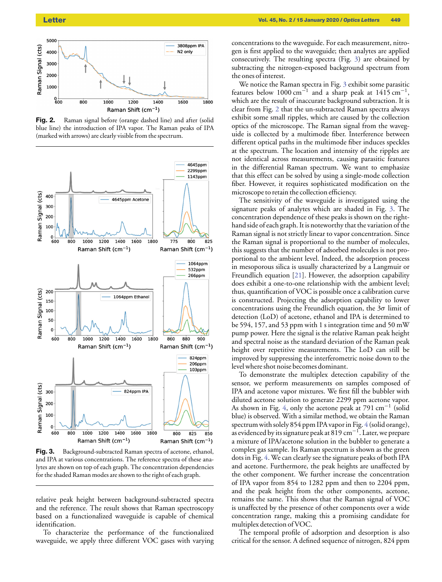<span id="page-2-0"></span>

Fig. 2. Raman signal before (orange dashed line) and after (solid blue line) the introduction of IPA vapor. The Raman peaks of IPA (marked with arrows) are clearly visible from the spectrum.

<span id="page-2-1"></span>

Fig. 3. Background-subtracted Raman spectra of acetone, ethanol, and IPA at various concentrations. The reference spectra of these analytes are shown on top of each graph. The concentration dependencies for the shaded Raman modes are shown to the right of each graph.

relative peak height between background-subtracted spectra and the reference. The result shows that Raman spectroscopy based on a functionalized waveguide is capable of chemical identification.

To characterize the performance of the functionalized waveguide, we apply three different VOC gases with varying concentrations to the waveguide. For each measurement, nitrogen is first applied to the waveguide; then analytes are applied consecutively. The resulting spectra (Fig. [3\)](#page-2-1) are obtained by subtracting the nitrogen-exposed background spectrum from the ones of interest.

We notice the Raman spectra in Fig. [3](#page-2-1) exhibit some parasitic features below 1000 cm<sup>-1</sup> and a sharp peak at 1415 cm<sup>-1</sup>, which are the result of inaccurate background subtraction. It is clear from Fig. [2](#page-2-0) that the un-subtracted Raman spectra always exhibit some small ripples, which are caused by the collection optics of the microscope. The Raman signal from the waveguide is collected by a multimode fiber. Interference between different optical paths in the multimode fiber induces speckles at the spectrum. The location and intensity of the ripples are not identical across measurements, causing parasitic features in the differential Raman spectrum. We want to emphasize that this effect can be solved by using a single-mode collection fiber. However, it requires sophisticated modification on the microscope to retain the collection efficiency.

The sensitivity of the waveguide is investigated using the signature peaks of analytes which are shaded in Fig. [3.](#page-2-1) The concentration dependence of these peaks is shown on the righthand side of each graph. It is noteworthy that the variation of the Raman signal is not strictly linear to vapor concentration. Since the Raman signal is proportional to the number of molecules, this suggests that the number of adsorbed molecules is not proportional to the ambient level. Indeed, the adsorption process in mesoporous silica is usually characterized by a Langmuir or Freundlich equation [\[21\]](#page-3-20). However, the adsorption capability does exhibit a one-to-one relationship with the ambient level; thus, quantification of VOC is possible once a calibration curve is constructed. Projecting the adsorption capability to lower concentrations using the Freundlich equation, the  $3\sigma$  limit of detection (LoD) of acetone, ethanol and IPA is determined to be 594, 157, and 53 ppm with 1 s integration time and 50 mW pump power. Here the signal is the relative Raman peak height and spectral noise as the standard deviation of the Raman peak height over repetitive measurements. The LoD can still be improved by suppressing the interferometric noise down to the level where shot noise becomes dominant.

To demonstrate the multiplex detection capability of the sensor, we perform measurements on samples composed of IPA and acetone vapor mixtures. We first fill the bubbler with diluted acetone solution to generate 2299 ppm acetone vapor. As shown in Fig. [4,](#page-3-24) only the acetone peak at 791 cm<sup>−</sup><sup>1</sup> (solid blue) is observed. With a similar method, we obtain the Raman spectrum with solely 854 ppm IPA vapor in Fig. [4](#page-3-24) (solid orange), as evidenced by its signature peak at 819 cm<sup>−</sup><sup>1</sup> . Later, we prepare a mixture of IPA/acetone solution in the bubbler to generate a complex gas sample. Its Raman spectrum is shown as the green dots in Fig. [4.](#page-3-24) We can clearly see the signature peaks of both IPA and acetone. Furthermore, the peak heights are unaffected by the other component. We further increase the concentration of IPA vapor from 854 to 1282 ppm and then to 2204 ppm, and the peak height from the other components, acetone, remains the same. This shows that the Raman signal of VOC is unaffected by the presence of other components over a wide concentration range, making this a promising candidate for multiplex detection of VOC.

The temporal profile of adsorption and desorption is also critical for the sensor. A defined sequence of nitrogen, 824 ppm